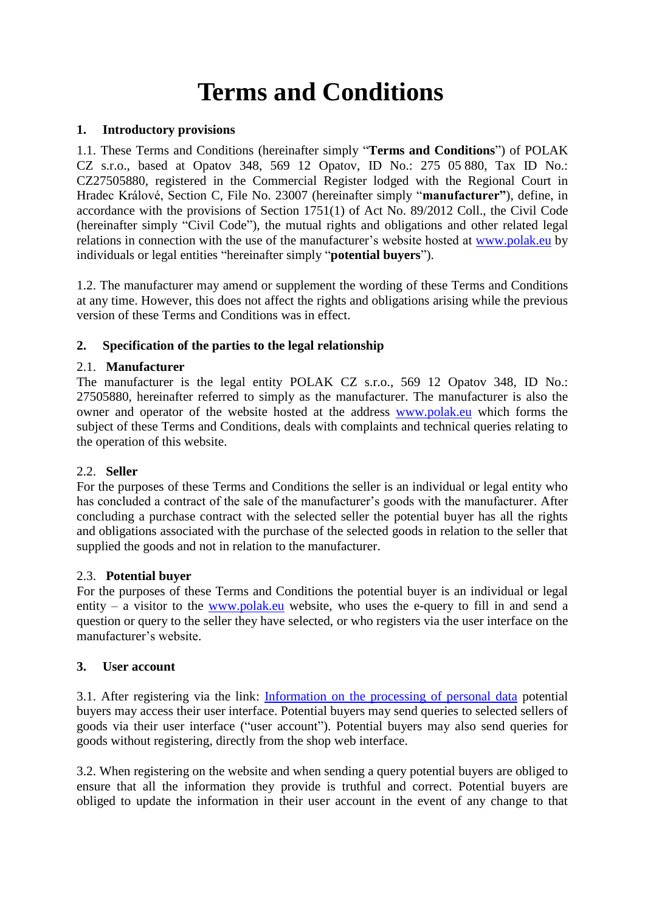# **Terms and Conditions**

## **1. Introductory provisions**

1.1. These Terms and Conditions (hereinafter simply "**Terms and Conditions**") of POLAK CZ s.r.o., based at Opatov 348, 569 12 Opatov, ID No.: 275 05 880, Tax ID No.: CZ27505880, registered in the Commercial Register lodged with the Regional Court in Hradec Králové, Section C, File No. 23007 (hereinafter simply "**manufacturer"**), define, in accordance with the provisions of Section 1751(1) of Act No. 89/2012 Coll., the Civil Code (hereinafter simply "Civil Code"), the mutual rights and obligations and other related legal relations in connection with the use of the manufacturer's website hosted at [www.polak.eu](https://www.polak.eu/) by individuals or legal entities "hereinafter simply "**potential buyers**").

1.2. The manufacturer may amend or supplement the wording of these Terms and Conditions at any time. However, this does not affect the rights and obligations arising while the previous version of these Terms and Conditions was in effect.

# **2. Specification of the parties to the legal relationship**

# 2.1. **Manufacturer**

The manufacturer is the legal entity POLAK CZ s.r.o., 569 12 Opatov 348, ID No.: 27505880, hereinafter referred to simply as the manufacturer. The manufacturer is also the owner and operator of the website hosted at the address [www.polak.eu](https://www.polak.eu/) which forms the subject of these Terms and Conditions, deals with complaints and technical queries relating to the operation of this website.

## 2.2. **Seller**

For the purposes of these Terms and Conditions the seller is an individual or legal entity who has concluded a contract of the sale of the manufacturer's goods with the manufacturer. After concluding a purchase contract with the selected seller the potential buyer has all the rights and obligations associated with the purchase of the selected goods in relation to the seller that supplied the goods and not in relation to the manufacturer.

# 2.3. **Potential buyer**

For the purposes of these Terms and Conditions the potential buyer is an individual or legal entity – a visitor to the [www.polak.eu](https://www.polak.eu/) website, who uses the e-query to fill in and send a question or query to the seller they have selected, or who registers via the user interface on the manufacturer's website.

# **3. User account**

3.1. After registering via the link: [Information on the processing of personal data](https://www.polak.eu/clanek/298-privacy-policy.html) potential buyers may access their user interface. Potential buyers may send queries to selected sellers of goods via their user interface ("user account"). Potential buyers may also send queries for goods without registering, directly from the shop web interface.

3.2. When registering on the website and when sending a query potential buyers are obliged to ensure that all the information they provide is truthful and correct. Potential buyers are obliged to update the information in their user account in the event of any change to that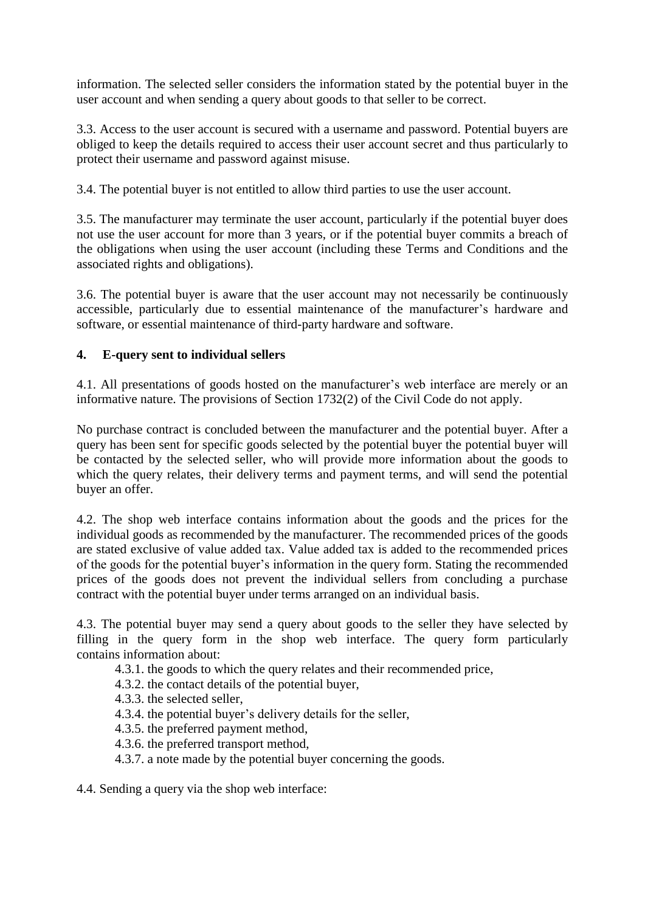information. The selected seller considers the information stated by the potential buyer in the user account and when sending a query about goods to that seller to be correct.

3.3. Access to the user account is secured with a username and password. Potential buyers are obliged to keep the details required to access their user account secret and thus particularly to protect their username and password against misuse.

3.4. The potential buyer is not entitled to allow third parties to use the user account.

3.5. The manufacturer may terminate the user account, particularly if the potential buyer does not use the user account for more than 3 years, or if the potential buyer commits a breach of the obligations when using the user account (including these Terms and Conditions and the associated rights and obligations).

3.6. The potential buyer is aware that the user account may not necessarily be continuously accessible, particularly due to essential maintenance of the manufacturer's hardware and software, or essential maintenance of third-party hardware and software.

# **4. E-query sent to individual sellers**

4.1. All presentations of goods hosted on the manufacturer's web interface are merely or an informative nature. The provisions of Section 1732(2) of the Civil Code do not apply.

No purchase contract is concluded between the manufacturer and the potential buyer. After a query has been sent for specific goods selected by the potential buyer the potential buyer will be contacted by the selected seller, who will provide more information about the goods to which the query relates, their delivery terms and payment terms, and will send the potential buyer an offer.

4.2. The shop web interface contains information about the goods and the prices for the individual goods as recommended by the manufacturer. The recommended prices of the goods are stated exclusive of value added tax. Value added tax is added to the recommended prices of the goods for the potential buyer's information in the query form. Stating the recommended prices of the goods does not prevent the individual sellers from concluding a purchase contract with the potential buyer under terms arranged on an individual basis.

4.3. The potential buyer may send a query about goods to the seller they have selected by filling in the query form in the shop web interface. The query form particularly contains information about:

- 4.3.1. the goods to which the query relates and their recommended price,
- 4.3.2. the contact details of the potential buyer,
- 4.3.3. the selected seller,
- 4.3.4. the potential buyer's delivery details for the seller,
- 4.3.5. the preferred payment method,
- 4.3.6. the preferred transport method,
- 4.3.7. a note made by the potential buyer concerning the goods.

4.4. Sending a query via the shop web interface: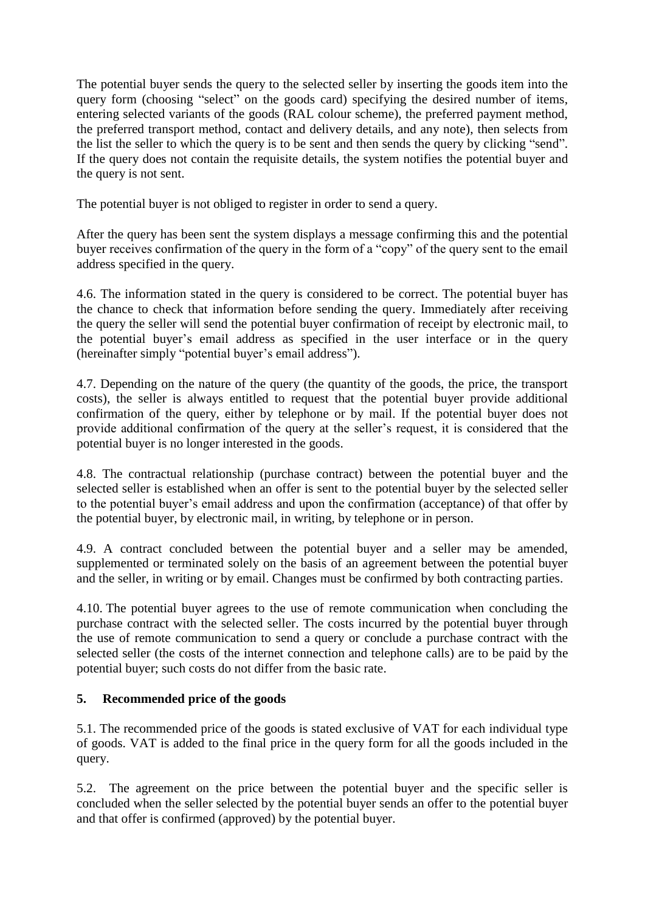The potential buyer sends the query to the selected seller by inserting the goods item into the query form (choosing "select" on the goods card) specifying the desired number of items, entering selected variants of the goods (RAL colour scheme), the preferred payment method, the preferred transport method, contact and delivery details, and any note), then selects from the list the seller to which the query is to be sent and then sends the query by clicking "send". If the query does not contain the requisite details, the system notifies the potential buyer and the query is not sent.

The potential buyer is not obliged to register in order to send a query.

After the query has been sent the system displays a message confirming this and the potential buyer receives confirmation of the query in the form of a "copy" of the query sent to the email address specified in the query.

4.6. The information stated in the query is considered to be correct. The potential buyer has the chance to check that information before sending the query. Immediately after receiving the query the seller will send the potential buyer confirmation of receipt by electronic mail, to the potential buyer's email address as specified in the user interface or in the query (hereinafter simply "potential buyer's email address").

4.7. Depending on the nature of the query (the quantity of the goods, the price, the transport costs), the seller is always entitled to request that the potential buyer provide additional confirmation of the query, either by telephone or by mail. If the potential buyer does not provide additional confirmation of the query at the seller's request, it is considered that the potential buyer is no longer interested in the goods.

4.8. The contractual relationship (purchase contract) between the potential buyer and the selected seller is established when an offer is sent to the potential buyer by the selected seller to the potential buyer's email address and upon the confirmation (acceptance) of that offer by the potential buyer, by electronic mail, in writing, by telephone or in person.

4.9. A contract concluded between the potential buyer and a seller may be amended, supplemented or terminated solely on the basis of an agreement between the potential buyer and the seller, in writing or by email. Changes must be confirmed by both contracting parties.

4.10. The potential buyer agrees to the use of remote communication when concluding the purchase contract with the selected seller. The costs incurred by the potential buyer through the use of remote communication to send a query or conclude a purchase contract with the selected seller (the costs of the internet connection and telephone calls) are to be paid by the potential buyer; such costs do not differ from the basic rate.

# **5. Recommended price of the goods**

5.1. The recommended price of the goods is stated exclusive of VAT for each individual type of goods. VAT is added to the final price in the query form for all the goods included in the query.

5.2. The agreement on the price between the potential buyer and the specific seller is concluded when the seller selected by the potential buyer sends an offer to the potential buyer and that offer is confirmed (approved) by the potential buyer.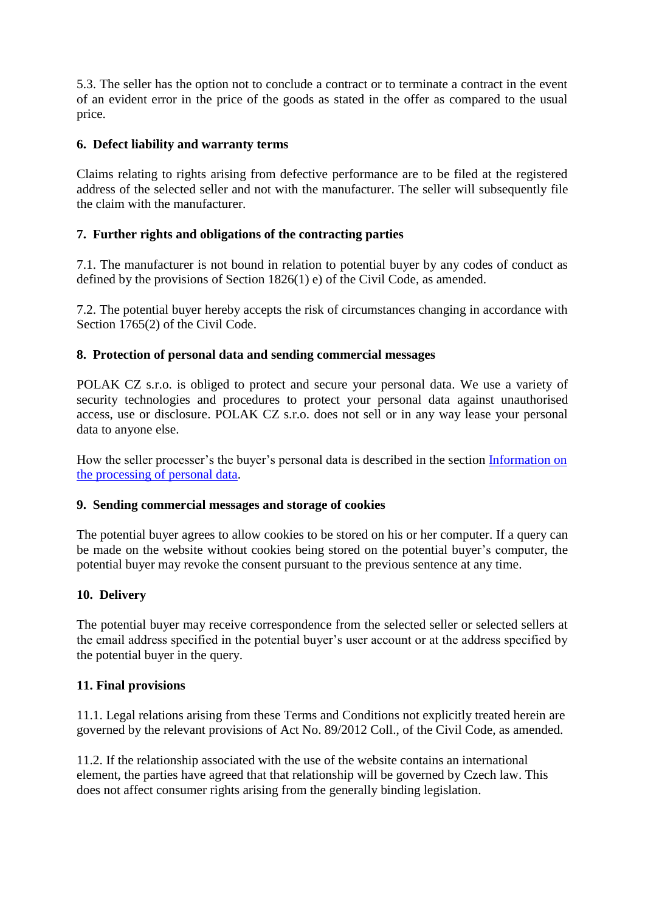5.3. The seller has the option not to conclude a contract or to terminate a contract in the event of an evident error in the price of the goods as stated in the offer as compared to the usual price.

# **6. Defect liability and warranty terms**

Claims relating to rights arising from defective performance are to be filed at the registered address of the selected seller and not with the manufacturer. The seller will subsequently file the claim with the manufacturer.

## **7. Further rights and obligations of the contracting parties**

7.1. The manufacturer is not bound in relation to potential buyer by any codes of conduct as defined by the provisions of Section 1826(1) e) of the Civil Code, as amended.

7.2. The potential buyer hereby accepts the risk of circumstances changing in accordance with Section 1765(2) of the Civil Code.

## **8. Protection of personal data and sending commercial messages**

POLAK CZ s.r.o. is obliged to protect and secure your personal data. We use a variety of security technologies and procedures to protect your personal data against unauthorised access, use or disclosure. POLAK CZ s.r.o. does not sell or in any way lease your personal data to anyone else.

How the seller processer's the buyer's personal data is described in the section [Information on](https://www.nabytek-polak.cz/clanek/296-informace-o-zpracovani-osobnich-udaju.html)  [the processing of personal data.](https://www.nabytek-polak.cz/clanek/296-informace-o-zpracovani-osobnich-udaju.html)

## **9. Sending commercial messages and storage of cookies**

The potential buyer agrees to allow cookies to be stored on his or her computer. If a query can be made on the website without cookies being stored on the potential buyer's computer, the potential buyer may revoke the consent pursuant to the previous sentence at any time.

## **10. Delivery**

The potential buyer may receive correspondence from the selected seller or selected sellers at the email address specified in the potential buyer's user account or at the address specified by the potential buyer in the query.

## **11. Final provisions**

11.1. Legal relations arising from these Terms and Conditions not explicitly treated herein are governed by the relevant provisions of Act No. 89/2012 Coll., of the Civil Code, as amended.

11.2. If the relationship associated with the use of the website contains an international element, the parties have agreed that that relationship will be governed by Czech law. This does not affect consumer rights arising from the generally binding legislation.